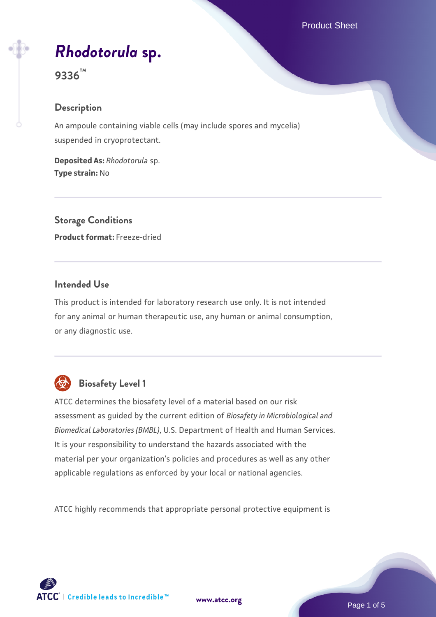# *[Rhodotorula](https://www.atcc.org/products/9336)* **[sp.](https://www.atcc.org/products/9336)**

**9336™**

## **Description**

An ampoule containing viable cells (may include spores and mycelia) suspended in cryoprotectant.

**Deposited As:** *Rhodotorula* sp. **Type strain:** No

**Storage Conditions Product format:** Freeze-dried

## **Intended Use**

This product is intended for laboratory research use only. It is not intended for any animal or human therapeutic use, any human or animal consumption, or any diagnostic use.



## **Biosafety Level 1**

ATCC determines the biosafety level of a material based on our risk assessment as guided by the current edition of *Biosafety in Microbiological and Biomedical Laboratories (BMBL)*, U.S. Department of Health and Human Services. It is your responsibility to understand the hazards associated with the material per your organization's policies and procedures as well as any other applicable regulations as enforced by your local or national agencies.

ATCC highly recommends that appropriate personal protective equipment is

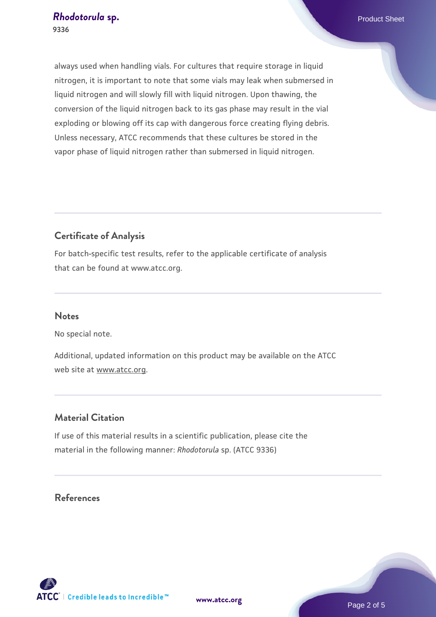always used when handling vials. For cultures that require storage in liquid nitrogen, it is important to note that some vials may leak when submersed in liquid nitrogen and will slowly fill with liquid nitrogen. Upon thawing, the conversion of the liquid nitrogen back to its gas phase may result in the vial exploding or blowing off its cap with dangerous force creating flying debris. Unless necessary, ATCC recommends that these cultures be stored in the vapor phase of liquid nitrogen rather than submersed in liquid nitrogen.

## **Certificate of Analysis**

For batch-specific test results, refer to the applicable certificate of analysis that can be found at www.atcc.org.

## **Notes**

No special note.

Additional, updated information on this product may be available on the ATCC web site at www.atcc.org.

## **Material Citation**

If use of this material results in a scientific publication, please cite the material in the following manner: *Rhodotorula* sp. (ATCC 9336)

## **References**

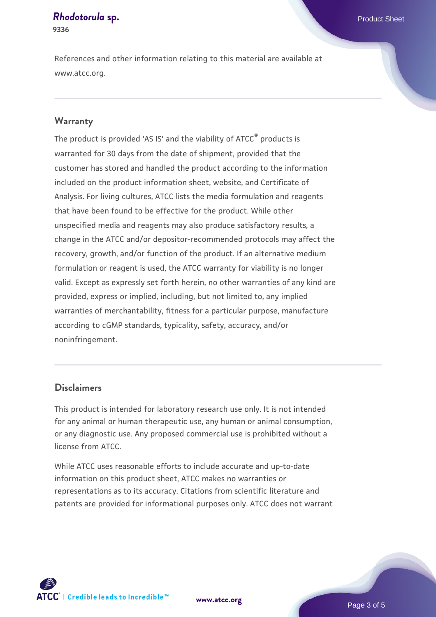#### **[Rhodotorula](https://www.atcc.org/products/9336) [sp.](https://www.atcc.org/products/9336)** Product Sheet **9336**

References and other information relating to this material are available at www.atcc.org.

## **Warranty**

The product is provided 'AS IS' and the viability of ATCC® products is warranted for 30 days from the date of shipment, provided that the customer has stored and handled the product according to the information included on the product information sheet, website, and Certificate of Analysis. For living cultures, ATCC lists the media formulation and reagents that have been found to be effective for the product. While other unspecified media and reagents may also produce satisfactory results, a change in the ATCC and/or depositor-recommended protocols may affect the recovery, growth, and/or function of the product. If an alternative medium formulation or reagent is used, the ATCC warranty for viability is no longer valid. Except as expressly set forth herein, no other warranties of any kind are provided, express or implied, including, but not limited to, any implied warranties of merchantability, fitness for a particular purpose, manufacture according to cGMP standards, typicality, safety, accuracy, and/or noninfringement.

## **Disclaimers**

This product is intended for laboratory research use only. It is not intended for any animal or human therapeutic use, any human or animal consumption, or any diagnostic use. Any proposed commercial use is prohibited without a license from ATCC.

While ATCC uses reasonable efforts to include accurate and up-to-date information on this product sheet, ATCC makes no warranties or representations as to its accuracy. Citations from scientific literature and patents are provided for informational purposes only. ATCC does not warrant



**[www.atcc.org](http://www.atcc.org)**

Page 3 of 5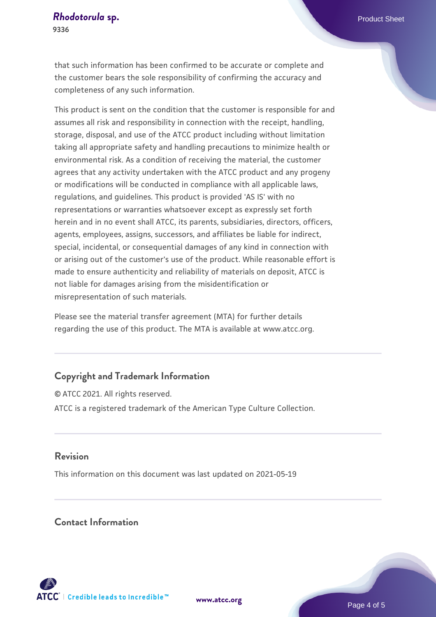that such information has been confirmed to be accurate or complete and the customer bears the sole responsibility of confirming the accuracy and completeness of any such information.

This product is sent on the condition that the customer is responsible for and assumes all risk and responsibility in connection with the receipt, handling, storage, disposal, and use of the ATCC product including without limitation taking all appropriate safety and handling precautions to minimize health or environmental risk. As a condition of receiving the material, the customer agrees that any activity undertaken with the ATCC product and any progeny or modifications will be conducted in compliance with all applicable laws, regulations, and guidelines. This product is provided 'AS IS' with no representations or warranties whatsoever except as expressly set forth herein and in no event shall ATCC, its parents, subsidiaries, directors, officers, agents, employees, assigns, successors, and affiliates be liable for indirect, special, incidental, or consequential damages of any kind in connection with or arising out of the customer's use of the product. While reasonable effort is made to ensure authenticity and reliability of materials on deposit, ATCC is not liable for damages arising from the misidentification or misrepresentation of such materials.

Please see the material transfer agreement (MTA) for further details regarding the use of this product. The MTA is available at www.atcc.org.

## **Copyright and Trademark Information**

© ATCC 2021. All rights reserved. ATCC is a registered trademark of the American Type Culture Collection.

## **Revision**

This information on this document was last updated on 2021-05-19

## **Contact Information**



**[www.atcc.org](http://www.atcc.org)**